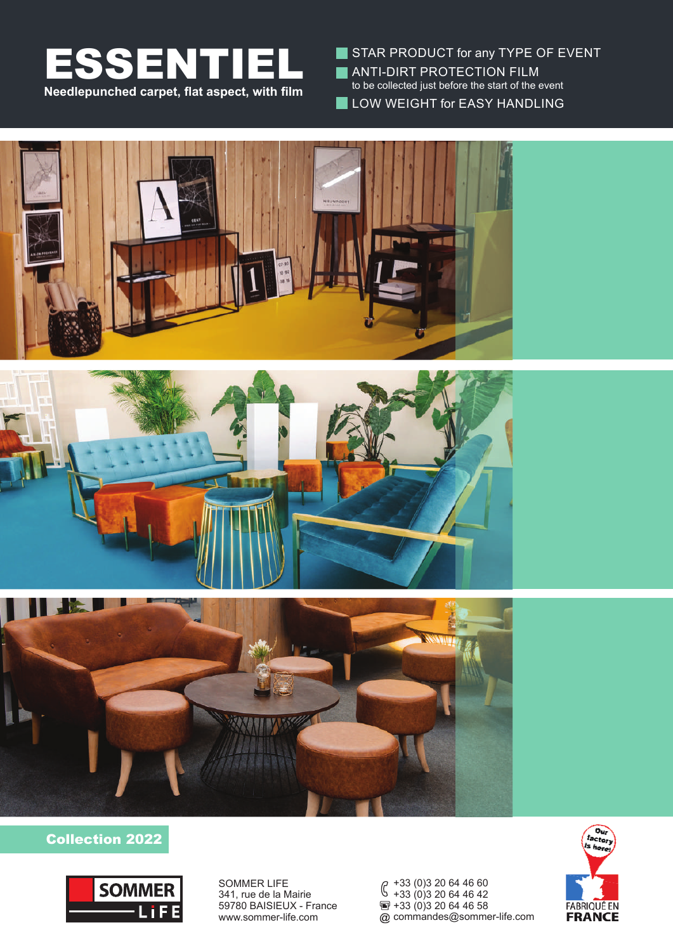

STAR PRODUCT for any TYPE OF EVENT **ANTI-DIRT PROTECTION FILM** to be collected just before the start of the event **LOW WEIGHT for EASY HANDLING** 







### Collection 2022



SOMMER LIFE 341, rue de la Mairie 59780 BAISIEUX - France www.sommer-life.com

+33 (0)3 20 64 46 60 +33 (0)3 20 64 46 42  $\overline{2}$  +33 (0) 3 20 64 46 58 commandes@sommer-life.com